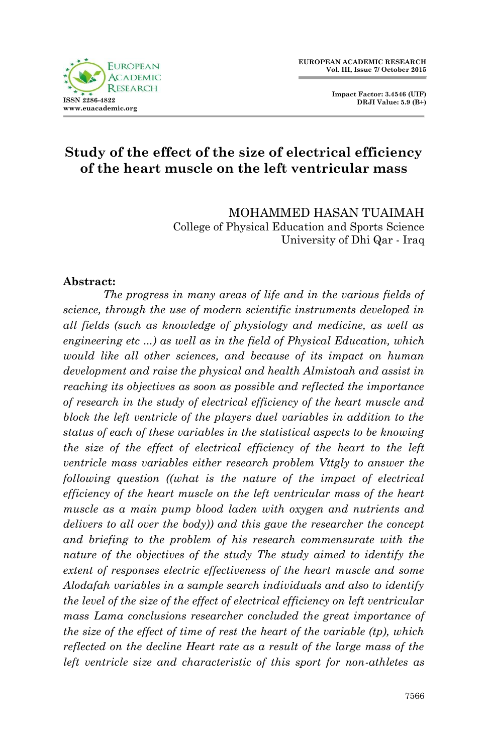

 **Impact Factor: 3.4546 (UIF) DRJI Value: 5.9 (B+)**

### **Study of the effect of the size of electrical efficiency of the heart muscle on the left ventricular mass**

MOHAMMED HASAN TUAIMAH College of Physical Education and Sports Science University of Dhi Qar - Iraq

#### **Abstract:**

*The progress in many areas of life and in the various fields of science, through the use of modern scientific instruments developed in all fields (such as knowledge of physiology and medicine, as well as engineering etc ...) as well as in the field of Physical Education, which would like all other sciences, and because of its impact on human development and raise the physical and health Almistoah and assist in reaching its objectives as soon as possible and reflected the importance of research in the study of electrical efficiency of the heart muscle and*  block the left ventricle of the players duel variables in addition to the *status of each of these variables in the statistical aspects to be knowing the size of the effect of electrical efficiency of the heart to the left ventricle mass variables either research problem Vttgly to answer the following question ((what is the nature of the impact of electrical efficiency of the heart muscle on the left ventricular mass of the heart muscle as a main pump blood laden with oxygen and nutrients and delivers to all over the body)) and this gave the researcher the concept and briefing to the problem of his research commensurate with the nature of the objectives of the study The study aimed to identify the extent of responses electric effectiveness of the heart muscle and some Alodafah variables in a sample search individuals and also to identify the level of the size of the effect of electrical efficiency on left ventricular mass Lama conclusions researcher concluded the great importance of the size of the effect of time of rest the heart of the variable (tp), which reflected on the decline Heart rate as a result of the large mass of the left ventricle size and characteristic of this sport for non-athletes as*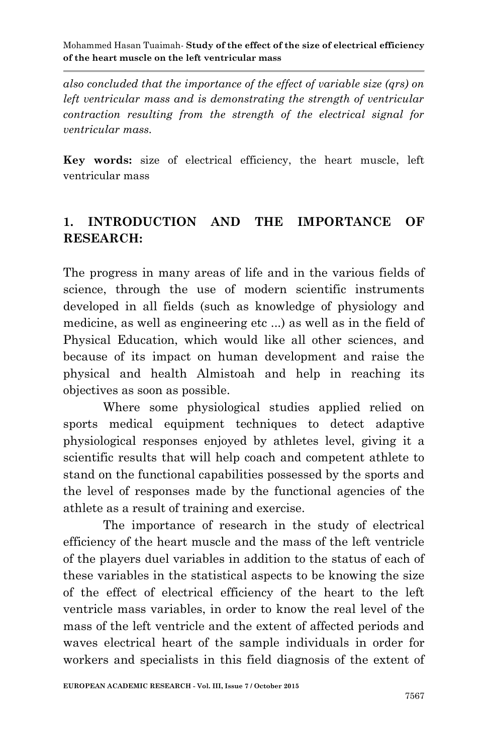*also concluded that the importance of the effect of variable size (qrs) on left ventricular mass and is demonstrating the strength of ventricular contraction resulting from the strength of the electrical signal for ventricular mass.* 

**Key words:** size of electrical efficiency, the heart muscle, left ventricular mass

### **1. INTRODUCTION AND THE IMPORTANCE OF RESEARCH:**

The progress in many areas of life and in the various fields of science, through the use of modern scientific instruments developed in all fields (such as knowledge of physiology and medicine, as well as engineering etc ...) as well as in the field of Physical Education, which would like all other sciences, and because of its impact on human development and raise the physical and health Almistoah and help in reaching its objectives as soon as possible.

Where some physiological studies applied relied on sports medical equipment techniques to detect adaptive physiological responses enjoyed by athletes level, giving it a scientific results that will help coach and competent athlete to stand on the functional capabilities possessed by the sports and the level of responses made by the functional agencies of the athlete as a result of training and exercise.

The importance of research in the study of electrical efficiency of the heart muscle and the mass of the left ventricle of the players duel variables in addition to the status of each of these variables in the statistical aspects to be knowing the size of the effect of electrical efficiency of the heart to the left ventricle mass variables, in order to know the real level of the mass of the left ventricle and the extent of affected periods and waves electrical heart of the sample individuals in order for workers and specialists in this field diagnosis of the extent of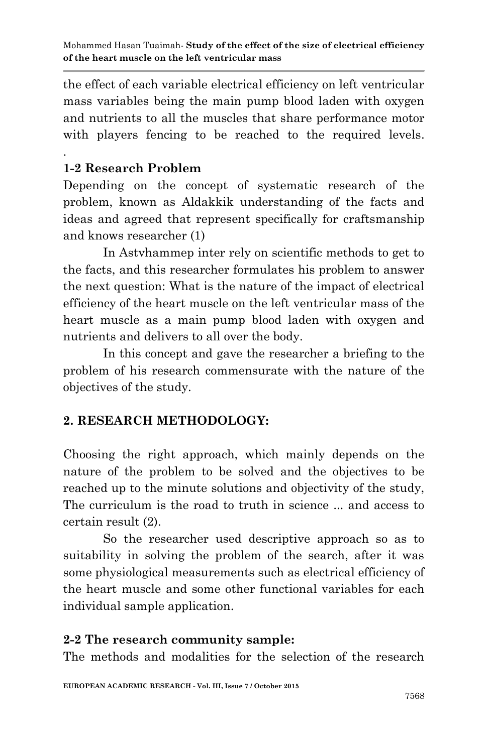the effect of each variable electrical efficiency on left ventricular mass variables being the main pump blood laden with oxygen and nutrients to all the muscles that share performance motor with players fencing to be reached to the required levels.

# **1-2 Research Problem**

.

Depending on the concept of systematic research of the problem, known as Aldakkik understanding of the facts and ideas and agreed that represent specifically for craftsmanship and knows researcher (1)

In Astvhammep inter rely on scientific methods to get to the facts, and this researcher formulates his problem to answer the next question: What is the nature of the impact of electrical efficiency of the heart muscle on the left ventricular mass of the heart muscle as a main pump blood laden with oxygen and nutrients and delivers to all over the body.

In this concept and gave the researcher a briefing to the problem of his research commensurate with the nature of the objectives of the study.

# **2. RESEARCH METHODOLOGY:**

Choosing the right approach, which mainly depends on the nature of the problem to be solved and the objectives to be reached up to the minute solutions and objectivity of the study, The curriculum is the road to truth in science ... and access to certain result (2).

So the researcher used descriptive approach so as to suitability in solving the problem of the search, after it was some physiological measurements such as electrical efficiency of the heart muscle and some other functional variables for each individual sample application.

# **2-2 The research community sample:**

The methods and modalities for the selection of the research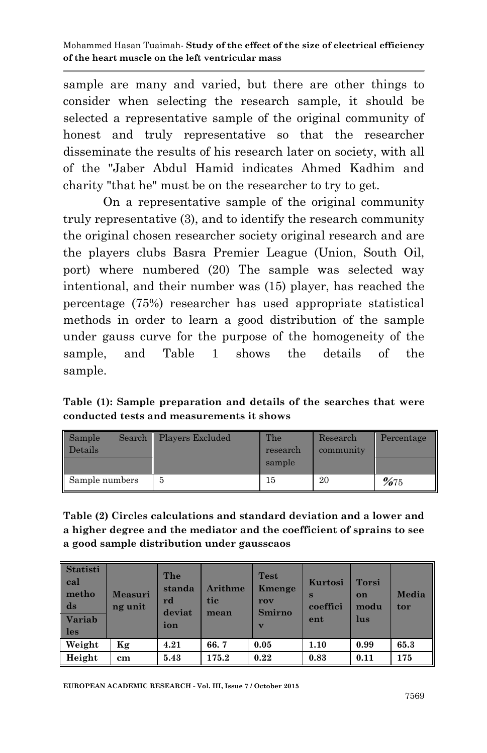sample are many and varied, but there are other things to consider when selecting the research sample, it should be selected a representative sample of the original community of honest and truly representative so that the researcher disseminate the results of his research later on society, with all of the "Jaber Abdul Hamid indicates Ahmed Kadhim and charity "that he" must be on the researcher to try to get.

On a representative sample of the original community truly representative (3), and to identify the research community the original chosen researcher society original research and are the players clubs Basra Premier League (Union, South Oil, port) where numbered (20) The sample was selected way intentional, and their number was (15) player, has reached the percentage (75%) researcher has used appropriate statistical methods in order to learn a good distribution of the sample under gauss curve for the purpose of the homogeneity of the sample, and Table 1 shows the details of the sample.

**Table (1): Sample preparation and details of the searches that were conducted tests and measurements it shows**

| Sample<br>Search<br>Details | Players Excluded | The<br>research<br>sample | Research<br>community | Percentage |
|-----------------------------|------------------|---------------------------|-----------------------|------------|
| Sample numbers              |                  | 15                        | 20                    | %75        |

**Table (2) Circles calculations and standard deviation and a lower and a higher degree and the mediator and the coefficient of sprains to see a good sample distribution under gausscaos**

| <b>Statisti</b><br>cal<br>metho<br>ds<br><b>Variab</b><br>les | <b>Measuri</b><br>ng unit | The<br>standa<br>rd<br>deviat<br>ion | Arithme<br>tic<br>mean | <b>Test</b><br>Kmenge<br>rov<br><b>Smirno</b><br>$\overline{\mathbf{v}}$ | Kurtosi<br>S<br>coeffici<br>ent | <b>Torsi</b><br>on<br>modu<br>lus | Media<br>tor |
|---------------------------------------------------------------|---------------------------|--------------------------------------|------------------------|--------------------------------------------------------------------------|---------------------------------|-----------------------------------|--------------|
| Weight                                                        | Κg                        | 4.21                                 | 66.7                   | 0.05                                                                     | 1.10                            | 0.99                              | 65.3         |
| Height                                                        | cm                        | 5.43                                 | 175.2                  | 0.22                                                                     | 0.83                            | 0.11                              | 175          |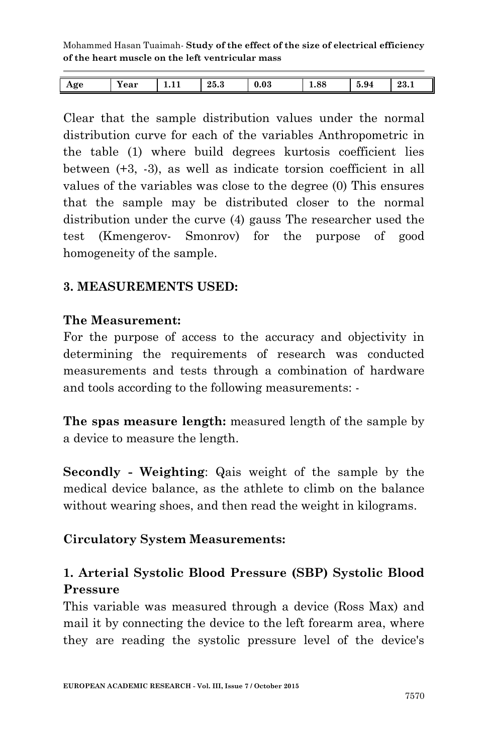| Age | $-$<br>Year | <b>L.L.L</b> | 25.3 | 0.03 | 1.88 | 5.94 | 23.1 |
|-----|-------------|--------------|------|------|------|------|------|
|     |             |              |      |      |      |      |      |

Clear that the sample distribution values under the normal distribution curve for each of the variables Anthropometric in the table (1) where build degrees kurtosis coefficient lies between (+3, -3), as well as indicate torsion coefficient in all values of the variables was close to the degree (0) This ensures that the sample may be distributed closer to the normal distribution under the curve (4) gauss The researcher used the test (Kmengerov- Smonrov) for the purpose of good homogeneity of the sample.

#### **3. MEASUREMENTS USED:**

#### **The Measurement:**

For the purpose of access to the accuracy and objectivity in determining the requirements of research was conducted measurements and tests through a combination of hardware and tools according to the following measurements: -

**The spas measure length:** measured length of the sample by a device to measure the length.

**Secondly - Weighting**: Qais weight of the sample by the medical device balance, as the athlete to climb on the balance without wearing shoes, and then read the weight in kilograms.

#### **Circulatory System Measurements:**

### **1. Arterial Systolic Blood Pressure (SBP) Systolic Blood Pressure**

This variable was measured through a device (Ross Max) and mail it by connecting the device to the left forearm area, where they are reading the systolic pressure level of the device's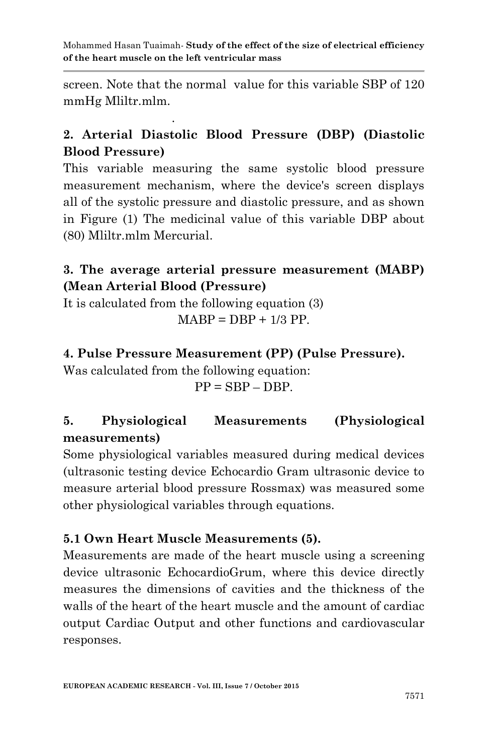screen. Note that the normal value for this variable SBP of 120 mmHg Mliltr.mlm.

### **2. Arterial Diastolic Blood Pressure (DBP) (Diastolic Blood Pressure)**

This variable measuring the same systolic blood pressure measurement mechanism, where the device's screen displays all of the systolic pressure and diastolic pressure, and as shown in Figure (1) The medicinal value of this variable DBP about (80) Mliltr.mlm Mercurial.

### **3. The average arterial pressure measurement (MABP) (Mean Arterial Blood (Pressure)**

It is calculated from the following equation (3)

.

$$
MABP = DBP + 1/3 PP.
$$

### **4. Pulse Pressure Measurement (PP) (Pulse Pressure).**

Was calculated from the following equation:

 $PP = SBP - DBP$ .

# **5. Physiological Measurements (Physiological measurements)**

Some physiological variables measured during medical devices (ultrasonic testing device Echocardio Gram ultrasonic device to measure arterial blood pressure Rossmax) was measured some other physiological variables through equations.

### **5.1 Own Heart Muscle Measurements (5).**

Measurements are made of the heart muscle using a screening device ultrasonic EchocardioGrum, where this device directly measures the dimensions of cavities and the thickness of the walls of the heart of the heart muscle and the amount of cardiac output Cardiac Output and other functions and cardiovascular responses.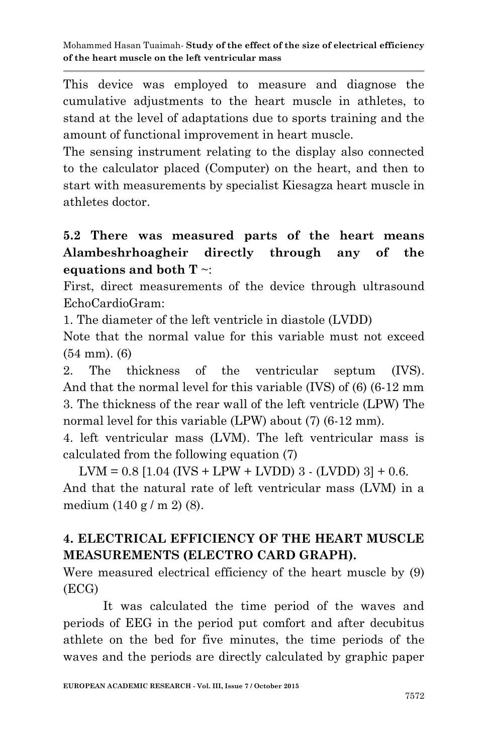This device was employed to measure and diagnose the cumulative adjustments to the heart muscle in athletes, to stand at the level of adaptations due to sports training and the amount of functional improvement in heart muscle.

The sensing instrument relating to the display also connected to the calculator placed (Computer) on the heart, and then to start with measurements by specialist Kiesagza heart muscle in athletes doctor.

# **5.2 There was measured parts of the heart means Alambeshrhoagheir directly through any of the equations and both T** ~:

First, direct measurements of the device through ultrasound EchoCardioGram:

1. The diameter of the left ventricle in diastole (LVDD)

Note that the normal value for this variable must not exceed (54 mm). (6)

2. The thickness of the ventricular septum (IVS). And that the normal level for this variable (IVS) of (6) (6-12 mm 3. The thickness of the rear wall of the left ventricle (LPW) The normal level for this variable (LPW) about (7) (6-12 mm).

4. left ventricular mass (LVM). The left ventricular mass is calculated from the following equation (7)

 $LVM = 0.8$  [1.04 (IVS + LPW + LVDD) 3 - (LVDD) 3] + 0.6. And that the natural rate of left ventricular mass (LVM) in a medium (140 g / m 2) (8).

# **4. ELECTRICAL EFFICIENCY OF THE HEART MUSCLE MEASUREMENTS (ELECTRO CARD GRAPH).**

Were measured electrical efficiency of the heart muscle by (9) (ECG)

It was calculated the time period of the waves and periods of EEG in the period put comfort and after decubitus athlete on the bed for five minutes, the time periods of the waves and the periods are directly calculated by graphic paper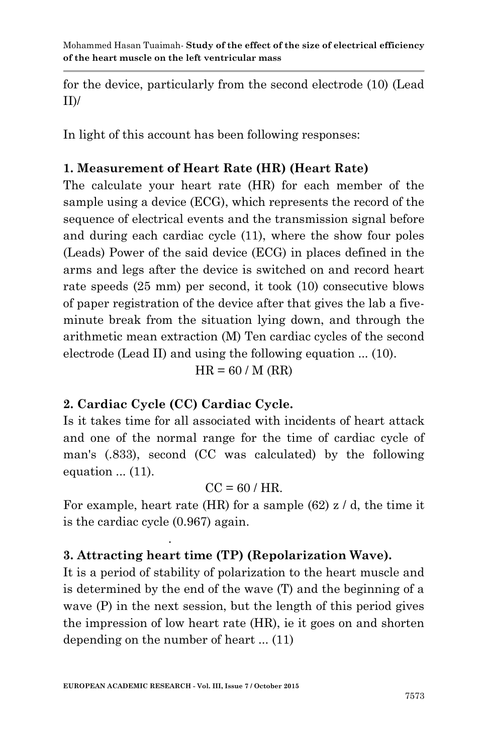for the device, particularly from the second electrode (10) (Lead  $ID/$ 

In light of this account has been following responses:

### **1. Measurement of Heart Rate (HR) (Heart Rate)**

The calculate your heart rate (HR) for each member of the sample using a device (ECG), which represents the record of the sequence of electrical events and the transmission signal before and during each cardiac cycle (11), where the show four poles (Leads) Power of the said device (ECG) in places defined in the arms and legs after the device is switched on and record heart rate speeds (25 mm) per second, it took (10) consecutive blows of paper registration of the device after that gives the lab a fiveminute break from the situation lying down, and through the arithmetic mean extraction (M) Ten cardiac cycles of the second electrode (Lead II) and using the following equation ... (10).

 $HR = 60 / M (RR)$ 

# **2. Cardiac Cycle (CC) Cardiac Cycle.**

.

Is it takes time for all associated with incidents of heart attack and one of the normal range for the time of cardiac cycle of man's (.833), second (CC was calculated) by the following equation ... (11).

### $CC = 60 / HR$ .

For example, heart rate (HR) for a sample  $(62)$  z  $\prime$  d, the time it is the cardiac cycle (0.967) again.

# **3. Attracting heart time (TP) (Repolarization Wave).**

It is a period of stability of polarization to the heart muscle and is determined by the end of the wave (T) and the beginning of a wave (P) in the next session, but the length of this period gives the impression of low heart rate (HR), ie it goes on and shorten depending on the number of heart ... (11)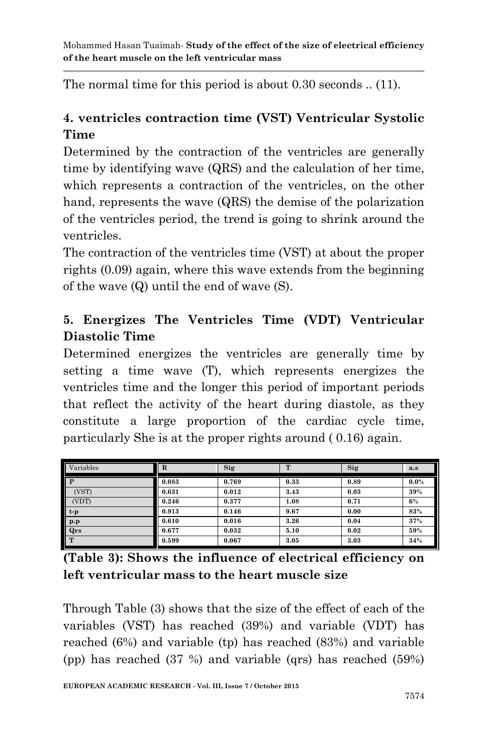The normal time for this period is about 0.30 seconds .. (11).

# **4. ventricles contraction time (VST) Ventricular Systolic Time**

Determined by the contraction of the ventricles are generally time by identifying wave (QRS) and the calculation of her time, which represents a contraction of the ventricles, on the other hand, represents the wave (QRS) the demise of the polarization of the ventricles period, the trend is going to shrink around the ventricles.

The contraction of the ventricles time (VST) at about the proper rights (0.09) again, where this wave extends from the beginning of the wave (Q) until the end of wave (S).

# **5. Energizes The Ventricles Time (VDT) Ventricular Diastolic Time**

Determined energizes the ventricles are generally time by setting a time wave (T), which represents energizes the ventricles time and the longer this period of important periods that reflect the activity of the heart during diastole, as they constitute a large proportion of the cardiac cycle time, particularly She is at the proper rights around ( 0.16) again.

| Variables               | $\mathbf R$ | Sig   |      | Sig  | a.s     |
|-------------------------|-------------|-------|------|------|---------|
| P                       | 0.083       | 0.769 | 0.33 | 0.89 | $0.0\%$ |
| (VST)                   | 0.631       | 0.012 | 3.43 | 0.03 | 39%     |
| (VDT)                   | 0.246       | 0.377 | 1.08 | 0.71 | 6%      |
| $t-p$                   | 0.913       | 0.146 | 9.67 | 0.00 | 83%     |
| $\mathbf{p}.\mathbf{p}$ | 0.610       | 0.016 | 3.26 | 0.04 | 37%     |
| Qrs                     | 0.677       | 0.032 | 5.10 | 0.02 | 59%     |
| T                       | 0.599       | 0.067 | 3.05 | 3.03 | 34%     |

| (Table 3): Shows the influence of electrical efficiency on |  |
|------------------------------------------------------------|--|
| left ventricular mass to the heart muscle size             |  |

Through Table (3) shows that the size of the effect of each of the variables (VST) has reached (39%) and variable (VDT) has reached (6%) and variable (tp) has reached (83%) and variable (pp) has reached (37 %) and variable (qrs) has reached (59%)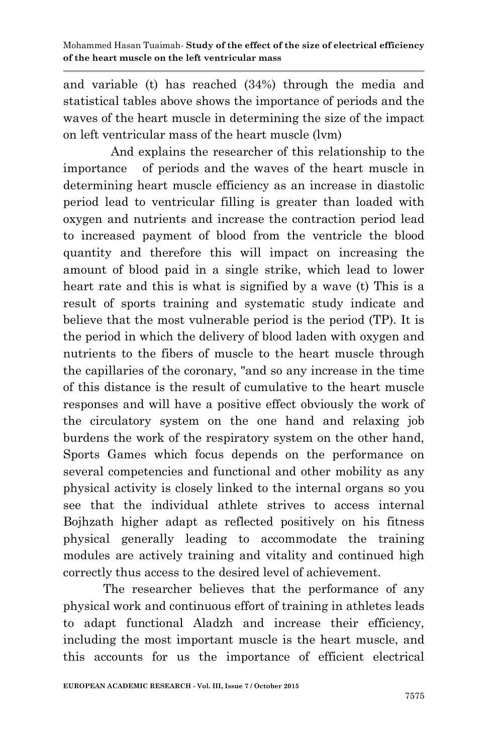and variable (t) has reached (34%) through the media and statistical tables above shows the importance of periods and the waves of the heart muscle in determining the size of the impact on left ventricular mass of the heart muscle (lvm)

 And explains the researcher of this relationship to the importance of periods and the waves of the heart muscle in determining heart muscle efficiency as an increase in diastolic period lead to ventricular filling is greater than loaded with oxygen and nutrients and increase the contraction period lead to increased payment of blood from the ventricle the blood quantity and therefore this will impact on increasing the amount of blood paid in a single strike, which lead to lower heart rate and this is what is signified by a wave (t) This is a result of sports training and systematic study indicate and believe that the most vulnerable period is the period (TP). It is the period in which the delivery of blood laden with oxygen and nutrients to the fibers of muscle to the heart muscle through the capillaries of the coronary, "and so any increase in the time of this distance is the result of cumulative to the heart muscle responses and will have a positive effect obviously the work of the circulatory system on the one hand and relaxing job burdens the work of the respiratory system on the other hand, Sports Games which focus depends on the performance on several competencies and functional and other mobility as any physical activity is closely linked to the internal organs so you see that the individual athlete strives to access internal Bojhzath higher adapt as reflected positively on his fitness physical generally leading to accommodate the training modules are actively training and vitality and continued high correctly thus access to the desired level of achievement.

The researcher believes that the performance of any physical work and continuous effort of training in athletes leads to adapt functional Aladzh and increase their efficiency, including the most important muscle is the heart muscle, and this accounts for us the importance of efficient electrical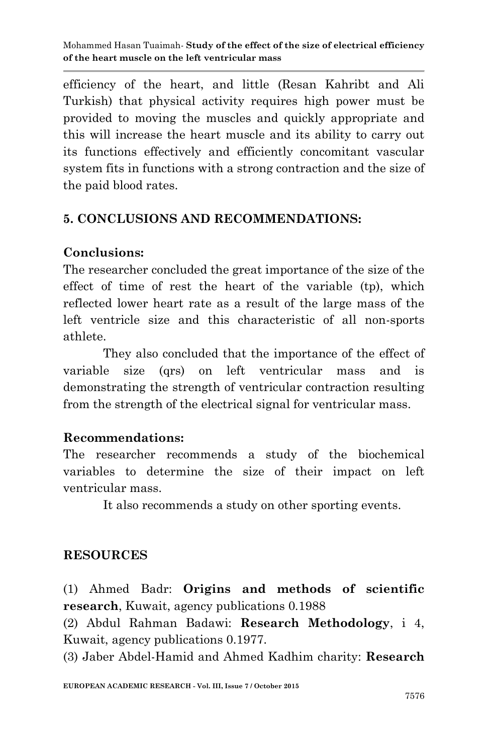efficiency of the heart, and little (Resan Kahribt and Ali Turkish) that physical activity requires high power must be provided to moving the muscles and quickly appropriate and this will increase the heart muscle and its ability to carry out its functions effectively and efficiently concomitant vascular system fits in functions with a strong contraction and the size of the paid blood rates.

# **5. CONCLUSIONS AND RECOMMENDATIONS:**

# **Conclusions:**

The researcher concluded the great importance of the size of the effect of time of rest the heart of the variable (tp), which reflected lower heart rate as a result of the large mass of the left ventricle size and this characteristic of all non-sports athlete.

They also concluded that the importance of the effect of variable size (qrs) on left ventricular mass and is demonstrating the strength of ventricular contraction resulting from the strength of the electrical signal for ventricular mass.

# **Recommendations:**

The researcher recommends a study of the biochemical variables to determine the size of their impact on left ventricular mass.

It also recommends a study on other sporting events.

# **RESOURCES**

(1) Ahmed Badr: **Origins and methods of scientific research**, Kuwait, agency publications 0.1988

(2) Abdul Rahman Badawi: **Research Methodology**, i 4, Kuwait, agency publications 0.1977.

(3) Jaber Abdel-Hamid and Ahmed Kadhim charity: **Research**